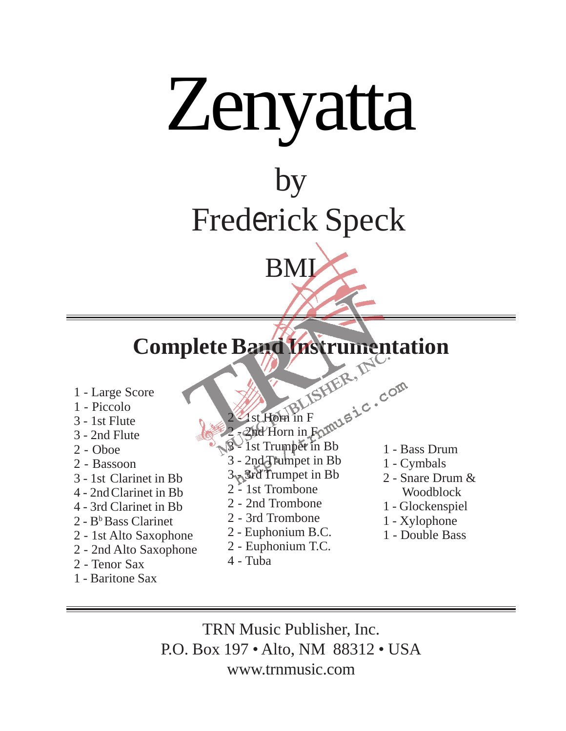## Zenyatta by Frederick Speck BMI

# **Complete Band Instrumentation**

- 1 Large Score
- 1 Piccolo
- 3 1st Flute
- 3 2nd Flute
- 2 Oboe
- 2 Bassoon
- 3 1st Clarinet in Bb
- 4 2ndClarinet in Bb
- 4 3rd Clarinet in Bb
- 2 Bb Bass Clarinet
- 2 1st Alto Saxophone
- 2 2nd Alto Saxophone
- 2 Tenor Sax
- 1 Baritone Sax
- 2<sup>2</sup> 1st Horn in F
- 2, 2nd Horn in F
- $3$ <sup> $\geq$ </sup> 1st Trumpet in Bb
	- 3 2ndTrumpet in Bb
	- 3.3rd Trumpet in Bb
	- 2 1st Trombone
	- 2 2nd Trombone
	- 2 3rd Trombone
	- 2 Euphonium B.C.
	- 2 Euphonium T.C.
	- 4 Tuba
- 1 Bass Drum
- 1 Cymbals
- 2 Snare Drum & Woodblock
	-
- 1 Glockenspiel
- 1 Xylophone
- 1 Double Bass

TRN Music Publisher, Inc. P.O. Box 197 • Alto, NM 88312 • USA www.trnmusic.com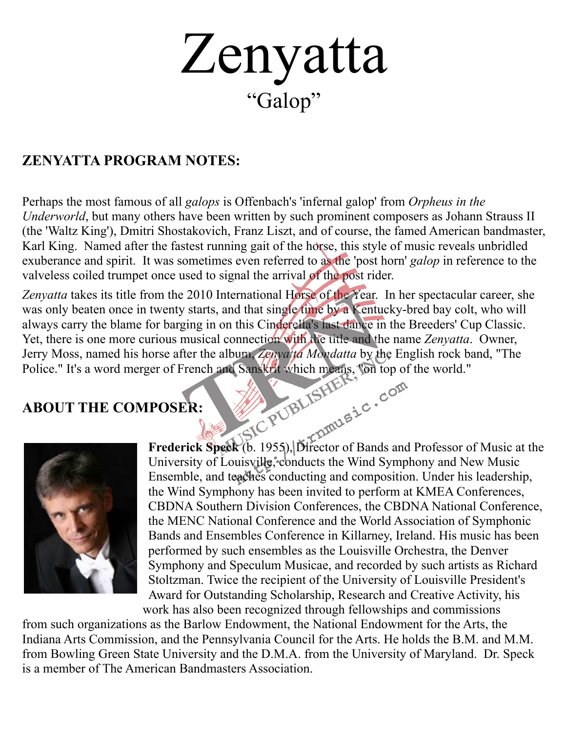Zenyatta "Galop"

### **ZENYATTA PROGRAM NOTES:**

Perhaps the most famous of all *galops* is Offenbach's 'infernal galop' from *Orpheus in the Underworld*, but many others have been written by such prominent composers as Johann Strauss II (the 'Waltz King'), Dmitri Shostakovich, Franz Liszt, and of course, the famed American bandmaster, Karl King. Named after the fastest running gait of the horse, this style of music reveals unbridled exuberance and spirit. It was sometimes even referred to as the 'post horn' *galop* in reference to the valveless coiled trumpet once used to signal the arrival of the post rider.

*Zenyatta* takes its title from the 2010 International Horse of the Year. In her spectacular career, she was only beaten once in twenty starts, and that single time by a Kentucky-bred bay colt, who will always carry the blame for barging in on this Cinderella's last dance in the Breeders' Cup Classic. Yet, there is one more curious musical connection with the title and the name *Zenyatta*. Owner, Jerry Moss, named his horse after the album, *Zenyatta Mondatta* by the English rock band, "The Police." It's a word merger of French and Sanskrit which means, "on top of the world."

### **ABOUT THE COMPOSER:**



Frederick Speek (b. 1955), Director of Bands and Professor of Music at the University of Louisville, conducts the Wind Symphony and New Music Ensemble, and teaches conducting and composition. Under his leadership, the Wind Symphony has been invited to perform at KMEA Conferences, CBDNA Southern Division Conferences, the CBDNA National Conference, the MENC National Conference and the World Association of Symphonic Bands and Ensembles Conference in Killarney, Ireland. His music has been performed by such ensembles as the Louisville Orchestra, the Denver Symphony and Speculum Musicae, and recorded by such artists as Richard Stoltzman. Twice the recipient of the University of Louisville President's Award for Outstanding Scholarship, Research and Creative Activity, his work has also been recognized through fellowships and commissions

from such organizations as the Barlow Endowment, the National Endowment for the Arts, the Indiana Arts Commission, and the Pennsylvania Council for the Arts. He holds the B.M. and M.M. from Bowling Green State University and the D.M.A. from the University of Maryland. Dr. Speck is a member of The American Bandmasters Association.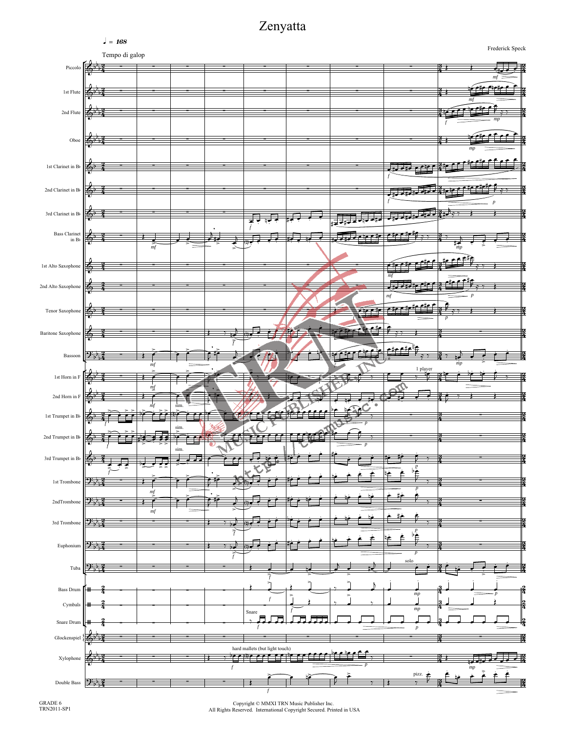#### Zenyatta

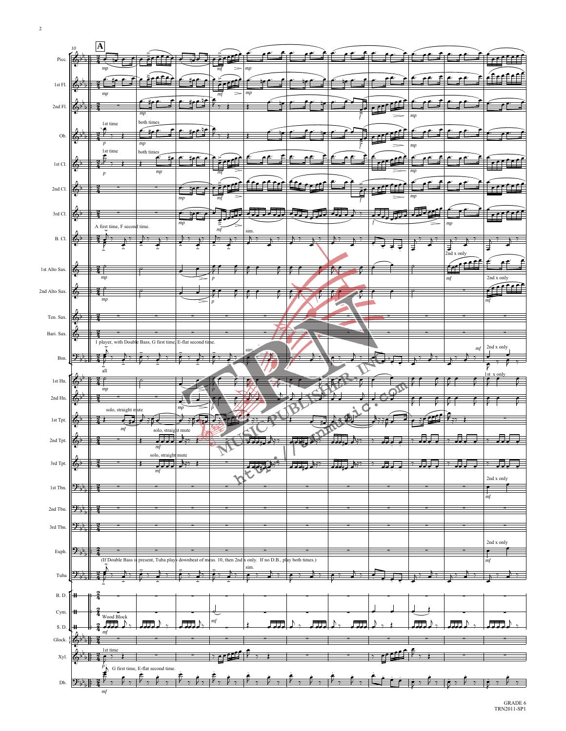

GRADE 6 TRN2011-SP1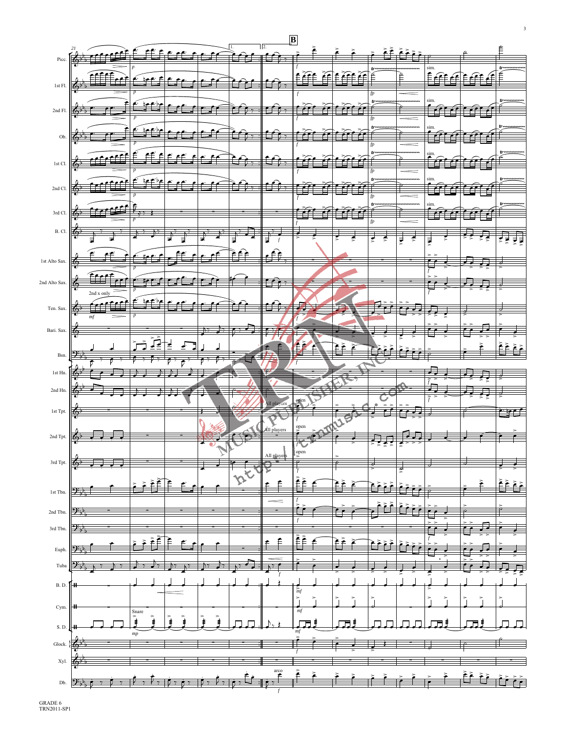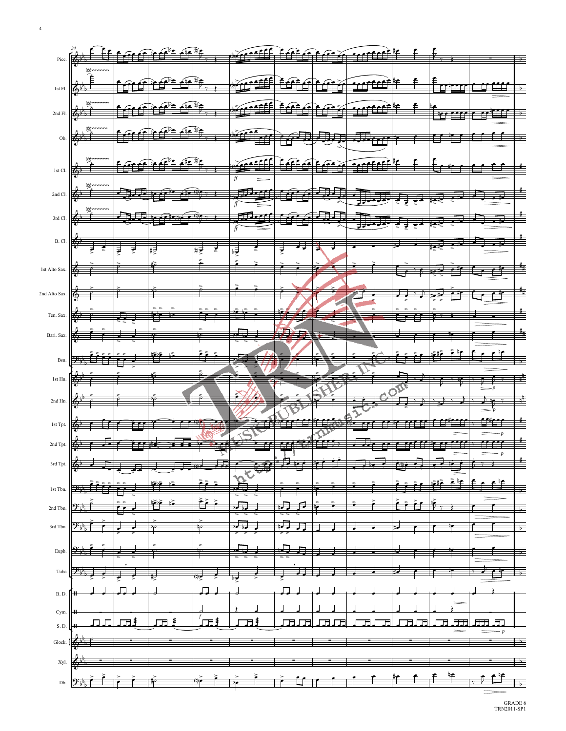|                              |                                                                                                                                           |                                                                                                                                                                                                                                                                                                                                                                                                                                                        | Pice (2005 - EF COCOPED PLOT COP                                                                                                                                                                                                                                                                                                                                                                                                                                           |                 | 0700 LL LL |    |                                    |                      |                                                                               |                          |
|------------------------------|-------------------------------------------------------------------------------------------------------------------------------------------|--------------------------------------------------------------------------------------------------------------------------------------------------------------------------------------------------------------------------------------------------------------------------------------------------------------------------------------------------------------------------------------------------------------------------------------------------------|----------------------------------------------------------------------------------------------------------------------------------------------------------------------------------------------------------------------------------------------------------------------------------------------------------------------------------------------------------------------------------------------------------------------------------------------------------------------------|-----------------|------------|----|------------------------------------|----------------------|-------------------------------------------------------------------------------|--------------------------|
|                              |                                                                                                                                           |                                                                                                                                                                                                                                                                                                                                                                                                                                                        |                                                                                                                                                                                                                                                                                                                                                                                                                                                                            |                 |            |    |                                    |                      |                                                                               |                          |
|                              | $\overbrace{\mathbb{H}}^{(tr)\text{nm}}$<br>1st Fl. $\left  \bigoplus_{i=1}^n x_i \right $                                                | <u>trarat</u>                                                                                                                                                                                                                                                                                                                                                                                                                                          |                                                                                                                                                                                                                                                                                                                                                                                                                                                                            | 40 <sub>z</sub> |            |    | <u>tri rri mund</u>                |                      | <u>eebeerel</u>                                                               |                          |
|                              |                                                                                                                                           |                                                                                                                                                                                                                                                                                                                                                                                                                                                        | $\left \bigoplus_{2\text{nd } \text{FL}} \frac{\left \bigoplus_{i=1}^n \frac{1}{\binom{n}{2}} \right ^2}{\binom{n}{2}} \right  \leq \frac{C}{\binom{n}{2}} \cdot \frac{C}{\binom{n}{2}} \cdot \frac{C}{\binom{n}{2}} \cdot \frac{C}{\binom{n}{2}} \cdot \frac{C}{\binom{n}{2}} \cdot \frac{C}{\binom{n}{2}} \cdot \frac{C}{\binom{n}{2}} \cdot \frac{C}{\binom{n}{2}} \cdot \frac{C}{\binom{n}{2}} \cdot \frac{C}{\binom{n}{2}} \cdot \frac{C}{\binom{n}{2}} \cdot \frac{$ |                 |            |    | <u>tri rico de contri "F</u>       |                      | <u>se cece e celest</u>                                                       |                          |
|                              |                                                                                                                                           |                                                                                                                                                                                                                                                                                                                                                                                                                                                        |                                                                                                                                                                                                                                                                                                                                                                                                                                                                            |                 |            |    |                                    |                      |                                                                               |                          |
|                              |                                                                                                                                           |                                                                                                                                                                                                                                                                                                                                                                                                                                                        | 0. 2009                                                                                                                                                                                                                                                                                                                                                                                                                                                                    |                 |            |    | ti a fallan mar                    |                      |                                                                               | $\overline{\ }$          |
|                              |                                                                                                                                           |                                                                                                                                                                                                                                                                                                                                                                                                                                                        | 1st Clerk Comment of Clerk Clerk Clerk Clerk Clerk Clerk Clerk Clerk Clerk Clerk Clerk Clerk Clerk Clerk Clerk Clerk Clerk Clerk Clerk Clerk Clerk Clerk Clerk Clerk Clerk Clerk Clerk Clerk Clerk Clerk Clerk Clerk Clerk Cl                                                                                                                                                                                                                                              |                 |            |    | <u>ezrtif feftef er a rentet k</u> | $\mathbf{f}$         | $\mathbb{F}$                                                                  |                          |
|                              |                                                                                                                                           |                                                                                                                                                                                                                                                                                                                                                                                                                                                        |                                                                                                                                                                                                                                                                                                                                                                                                                                                                            |                 |            |    |                                    |                      |                                                                               |                          |
|                              |                                                                                                                                           |                                                                                                                                                                                                                                                                                                                                                                                                                                                        |                                                                                                                                                                                                                                                                                                                                                                                                                                                                            |                 |            |    |                                    |                      |                                                                               |                          |
|                              |                                                                                                                                           |                                                                                                                                                                                                                                                                                                                                                                                                                                                        | $\frac{1}{2\pi d}$ Class $\frac{d^{2}y}{dy^{2}}$ , $\frac{1}{2\pi d}$ , $\frac{1}{2\pi d}$ , $\frac{1}{2\pi d}$ , $\frac{1}{2\pi d}$ , $\frac{1}{2\pi d}$ , $\frac{1}{2\pi d}$                                                                                                                                                                                                                                                                                             |                 |            |    | <b>Fulled Collection</b>           |                      |                                                                               |                          |
|                              | B. C1.                                                                                                                                    | $\frac{1}{\frac{1}{2} \cdot \frac{1}{2} \cdot \frac{1}{2} \cdot \frac{1}{2} \cdot \frac{1}{2} \cdot \frac{1}{2} \cdot \frac{1}{2} \cdot \frac{1}{2} \cdot \frac{1}{2} \cdot \frac{1}{2} \cdot \frac{1}{2} \cdot \frac{1}{2} \cdot \frac{1}{2} \cdot \frac{1}{2} \cdot \frac{1}{2} \cdot \frac{1}{2} \cdot \frac{1}{2} \cdot \frac{1}{2} \cdot \frac{1}{2} \cdot \frac{1}{2} \cdot \frac{1}{2} \cdot \frac{1}{2} \cdot \frac{1}{2} \cdot \frac{1}{2} \$ |                                                                                                                                                                                                                                                                                                                                                                                                                                                                            | 事<br>ţ          |            |    |                                    |                      | $\frac{1}{\log n}$                                                            |                          |
|                              |                                                                                                                                           |                                                                                                                                                                                                                                                                                                                                                                                                                                                        |                                                                                                                                                                                                                                                                                                                                                                                                                                                                            |                 |            |    |                                    |                      |                                                                               |                          |
| 1st Alto Sax.                | 6f                                                                                                                                        |                                                                                                                                                                                                                                                                                                                                                                                                                                                        |                                                                                                                                                                                                                                                                                                                                                                                                                                                                            |                 |            | Þ. |                                    |                      |                                                                               |                          |
| 2nd Alto Sax.                | 险                                                                                                                                         |                                                                                                                                                                                                                                                                                                                                                                                                                                                        |                                                                                                                                                                                                                                                                                                                                                                                                                                                                            |                 |            |    |                                    |                      | $\frac{1}{2}$ , $\frac{1}{2}$ , $\frac{1}{2}$ , $\frac{1}{2}$ , $\frac{1}{2}$ |                          |
| Ten. Sax.                    |                                                                                                                                           | $\frac{1}{2}$                                                                                                                                                                                                                                                                                                                                                                                                                                          | $\frac{1}{2}$                                                                                                                                                                                                                                                                                                                                                                                                                                                              | $\overline{C}$  |            |    |                                    | بی کا می می<br>منابع |                                                                               |                          |
|                              | Bari. Sax. $\left  \begin{array}{ccc} \bullet & \bullet & \bullet & \bullet \\ \bullet & \bullet & \bullet & \bullet \end{array} \right $ |                                                                                                                                                                                                                                                                                                                                                                                                                                                        |                                                                                                                                                                                                                                                                                                                                                                                                                                                                            |                 |            |    |                                    |                      |                                                                               |                          |
| Bsn.                         | $\mathcal{P}$                                                                                                                             | $\frac{1}{2}$                                                                                                                                                                                                                                                                                                                                                                                                                                          |                                                                                                                                                                                                                                                                                                                                                                                                                                                                            |                 |            |    |                                    |                      | $\tilde{\epsilon}$ if                                                         |                          |
| $1\mathrm{st}\:\mathrm{Hn}.$ | $\rho$   $\rho$                                                                                                                           |                                                                                                                                                                                                                                                                                                                                                                                                                                                        |                                                                                                                                                                                                                                                                                                                                                                                                                                                                            |                 |            |    |                                    |                      |                                                                               |                          |
|                              |                                                                                                                                           |                                                                                                                                                                                                                                                                                                                                                                                                                                                        |                                                                                                                                                                                                                                                                                                                                                                                                                                                                            |                 |            |    |                                    |                      |                                                                               |                          |
| 2nd Hn.                      | $\Phi^{\sharp}$                                                                                                                           |                                                                                                                                                                                                                                                                                                                                                                                                                                                        |                                                                                                                                                                                                                                                                                                                                                                                                                                                                            |                 |            |    |                                    |                      |                                                                               |                          |
| $1\,\mathrm{st}$ Tpt.        | $\mathbf{\Phi}^{\mathbf{p}}$                                                                                                              |                                                                                                                                                                                                                                                                                                                                                                                                                                                        | $\epsilon$ is really in the $\epsilon$                                                                                                                                                                                                                                                                                                                                                                                                                                     | 24              |            |    |                                    |                      |                                                                               |                          |
| 2nd Tpt.                     |                                                                                                                                           | $\leftarrow$ $\leftarrow$ $\leftarrow$ $\leftarrow$ $\leftarrow$ $\leftarrow$ $\leftarrow$                                                                                                                                                                                                                                                                                                                                                             | $\implies$                                                                                                                                                                                                                                                                                                                                                                                                                                                                 | <b>Part</b>     | $\epsilon$ |    | $\overline{\phantom{a}}$           |                      |                                                                               |                          |
| $3\mathrm{rd}$ Tpt.          |                                                                                                                                           |                                                                                                                                                                                                                                                                                                                                                                                                                                                        |                                                                                                                                                                                                                                                                                                                                                                                                                                                                            |                 |            |    |                                    |                      |                                                                               |                          |
| $1\,\mathrm{st}$ Tbn.        |                                                                                                                                           |                                                                                                                                                                                                                                                                                                                                                                                                                                                        |                                                                                                                                                                                                                                                                                                                                                                                                                                                                            |                 |            |    |                                    |                      |                                                                               |                          |
| 2nd Tbn.                     |                                                                                                                                           |                                                                                                                                                                                                                                                                                                                                                                                                                                                        |                                                                                                                                                                                                                                                                                                                                                                                                                                                                            |                 |            |    |                                    |                      |                                                                               | $\overline{\phantom{0}}$ |
| 3rd Tbn.                     |                                                                                                                                           |                                                                                                                                                                                                                                                                                                                                                                                                                                                        |                                                                                                                                                                                                                                                                                                                                                                                                                                                                            |                 |            |    |                                    |                      |                                                                               | $\overline{\phantom{0}}$ |
|                              |                                                                                                                                           |                                                                                                                                                                                                                                                                                                                                                                                                                                                        |                                                                                                                                                                                                                                                                                                                                                                                                                                                                            |                 |            |    |                                    |                      |                                                                               |                          |
| Euph.                        |                                                                                                                                           |                                                                                                                                                                                                                                                                                                                                                                                                                                                        |                                                                                                                                                                                                                                                                                                                                                                                                                                                                            |                 |            |    |                                    |                      |                                                                               |                          |
| Tuba                         |                                                                                                                                           |                                                                                                                                                                                                                                                                                                                                                                                                                                                        |                                                                                                                                                                                                                                                                                                                                                                                                                                                                            |                 |            |    |                                    |                      |                                                                               |                          |
| B.D.                         |                                                                                                                                           |                                                                                                                                                                                                                                                                                                                                                                                                                                                        |                                                                                                                                                                                                                                                                                                                                                                                                                                                                            |                 |            |    |                                    |                      |                                                                               |                          |
| Cym.                         |                                                                                                                                           | ਜ ≇                                                                                                                                                                                                                                                                                                                                                                                                                                                    |                                                                                                                                                                                                                                                                                                                                                                                                                                                                            | ĦŦ              |            |    |                                    |                      |                                                                               |                          |
| S.D.                         |                                                                                                                                           |                                                                                                                                                                                                                                                                                                                                                                                                                                                        |                                                                                                                                                                                                                                                                                                                                                                                                                                                                            |                 |            |    |                                    |                      |                                                                               |                          |
| Glock.                       |                                                                                                                                           |                                                                                                                                                                                                                                                                                                                                                                                                                                                        |                                                                                                                                                                                                                                                                                                                                                                                                                                                                            |                 |            |    |                                    |                      |                                                                               |                          |
| Xyl.                         |                                                                                                                                           |                                                                                                                                                                                                                                                                                                                                                                                                                                                        |                                                                                                                                                                                                                                                                                                                                                                                                                                                                            |                 |            |    |                                    |                      |                                                                               |                          |
| Db.                          |                                                                                                                                           |                                                                                                                                                                                                                                                                                                                                                                                                                                                        |                                                                                                                                                                                                                                                                                                                                                                                                                                                                            |                 |            |    |                                    |                      |                                                                               |                          |

GRADE 6 TRN2011-SP1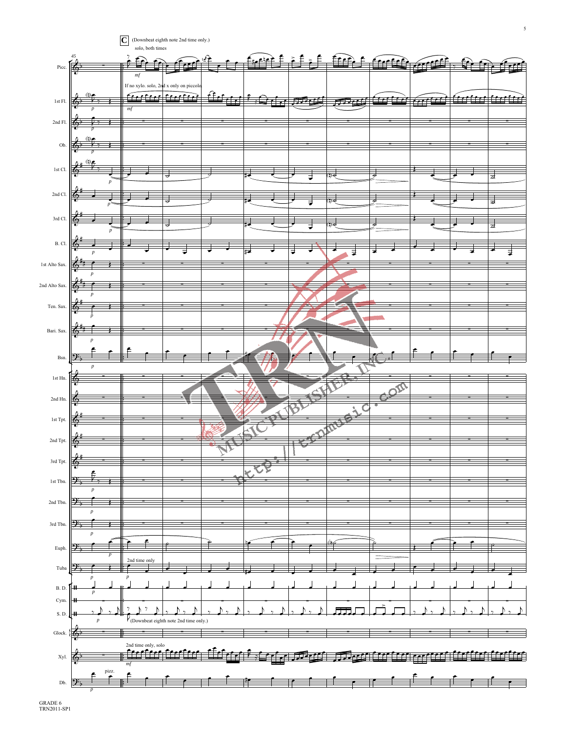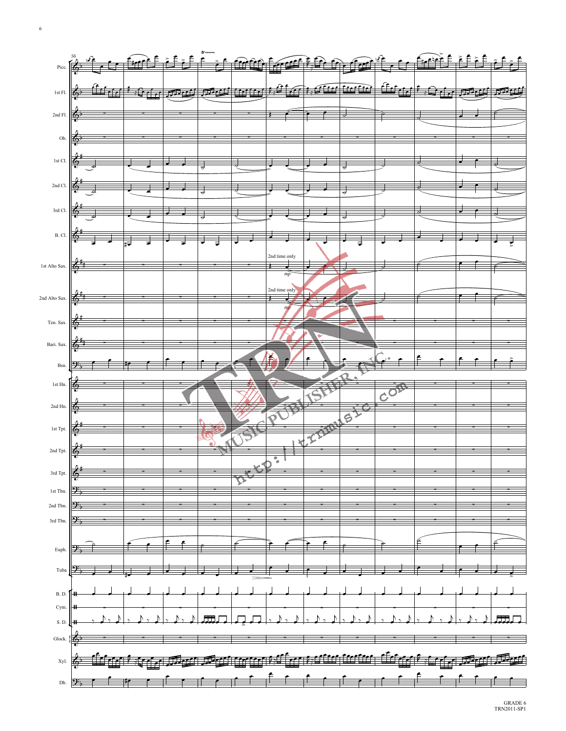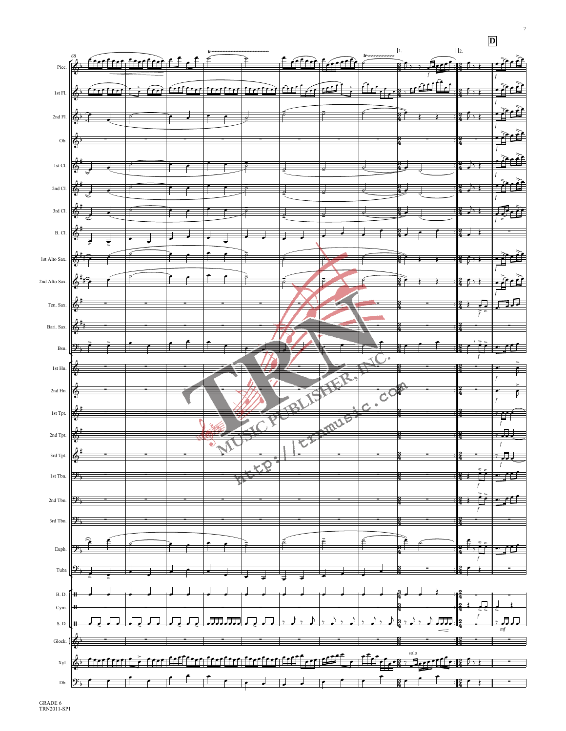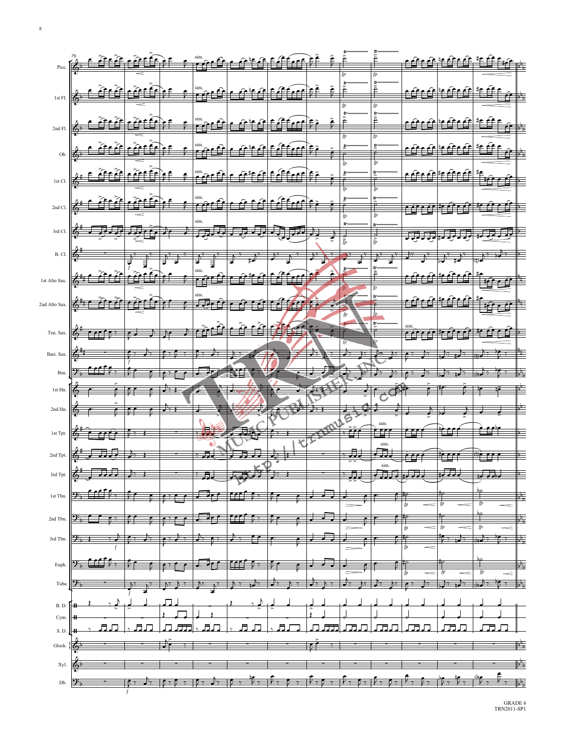|            |                                                                                                                                                                                                                                                                                                                                                                                                                                         |      |               |                  |                                                                                                                                                                                                                                                                                                                     |  |                                                                                                                                                                                                                                                                                             |                         | <u>≠∂≠∂≠∂≠₫≠₫≠∂ ",</u>    |
|------------|-----------------------------------------------------------------------------------------------------------------------------------------------------------------------------------------------------------------------------------------------------------------------------------------------------------------------------------------------------------------------------------------------------------------------------------------|------|---------------|------------------|---------------------------------------------------------------------------------------------------------------------------------------------------------------------------------------------------------------------------------------------------------------------------------------------------------------------|--|---------------------------------------------------------------------------------------------------------------------------------------------------------------------------------------------------------------------------------------------------------------------------------------------|-------------------------|---------------------------|
|            | $18 F1.$ $\frac{1}{18 F1}$ $\frac{1}{18 F1}$ $\frac{1}{18 F1}$ $\frac{1}{18 F1}$ $\frac{1}{18 F1}$ $\frac{1}{18 F1}$ $\frac{1}{18 F1}$ $\frac{1}{18 F1}$ $\frac{1}{18 F1}$ $\frac{1}{18 F1}$ $\frac{1}{18 F1}$ $\frac{1}{18 F1}$ $\frac{1}{18 F1}$ $\frac{1}{18 F1}$ $\frac{1}{18 F1}$                                                                                                                                                  |      |               |                  |                                                                                                                                                                                                                                                                                                                     |  |                                                                                                                                                                                                                                                                                             |                         | <u>rê tê hêtê hêf a b</u> |
|            | $\text{2nd FL} \left( \frac{1}{\sqrt{2}} + \frac{1}{\sqrt{2}} + \frac{1}{\sqrt{2}} + \frac{1}{\sqrt{2}} + \frac{1}{\sqrt{2}} + \frac{1}{\sqrt{2}} + \frac{1}{\sqrt{2}} + \frac{1}{\sqrt{2}} + \frac{1}{\sqrt{2}} + \frac{1}{\sqrt{2}} + \frac{1}{\sqrt{2}} + \frac{1}{\sqrt{2}} + \frac{1}{\sqrt{2}} + \frac{1}{\sqrt{2}} + \frac{1}{\sqrt{2}} + \frac{1}{\sqrt{2}} + \frac{1}{\sqrt{2}} + \frac{1}{\sqrt{2}} + \frac{1}{\sqrt{2}} + \$ |      |               |                  |                                                                                                                                                                                                                                                                                                                     |  |                                                                                                                                                                                                                                                                                             |                         | <u>nînî kînî kira</u>     |
|            |                                                                                                                                                                                                                                                                                                                                                                                                                                         |      |               |                  |                                                                                                                                                                                                                                                                                                                     |  |                                                                                                                                                                                                                                                                                             |                         | <u>n tirkitari pri</u>    |
|            | $1810.$ $\frac{1}{10}$ $\frac{1}{10}$ $\frac{1}{10}$ $\frac{1}{10}$ $\frac{1}{10}$ $\frac{1}{10}$ $\frac{1}{10}$ $\frac{1}{10}$ $\frac{1}{10}$ $\frac{1}{10}$ $\frac{1}{10}$ $\frac{1}{10}$ $\frac{1}{10}$ $\frac{1}{10}$ $\frac{1}{10}$ $\frac{1}{10}$ $\frac{1}{10}$ $\frac{1}{10}$ $\frac{1}{10}$ $\frac{$                                                                                                                           |      |               |                  |                                                                                                                                                                                                                                                                                                                     |  |                                                                                                                                                                                                                                                                                             |                         | <u>eferitfi ita f</u>     |
|            |                                                                                                                                                                                                                                                                                                                                                                                                                                         |      |               |                  |                                                                                                                                                                                                                                                                                                                     |  |                                                                                                                                                                                                                                                                                             | <u>e de divere li t</u> |                           |
|            | and the state of the state of the state of the state of the state of the state of the state of the state of the                                                                                                                                                                                                                                                                                                                         |      |               |                  |                                                                                                                                                                                                                                                                                                                     |  |                                                                                                                                                                                                                                                                                             |                         |                           |
|            | $\mathbb{E}^{10}$ $\left  \frac{Q^2}{Q^2} \right  = \frac{1}{2}$ $\left  \frac{1}{2}$ $\frac{1}{2}$ $\left  \frac{1}{2}$ $\frac{1}{2}$ $\frac{1}{2}$ $\left  \frac{1}{2}$ $\frac{1}{2}$ $\frac{1}{2}$ $\left  \frac{1}{2} \right $ $\frac{1}{2}$ $\left  \frac{1}{2} \right $ $\frac{1}{2}$ $\left  \frac{1}{2} \right $ $\frac{1}{2}$ $\left  \frac{1}{2} \right$                                                                      |      |               |                  |                                                                                                                                                                                                                                                                                                                     |  |                                                                                                                                                                                                                                                                                             |                         |                           |
|            | the control of the state of the control of the state of the state of the state of the state of the state of the                                                                                                                                                                                                                                                                                                                         |      |               |                  |                                                                                                                                                                                                                                                                                                                     |  |                                                                                                                                                                                                                                                                                             |                         | <u> cîcî  tîcî  recî</u>  |
|            | $_{2nd\,Atto\,Sax.}$ $\frac{1}{60}$ $\frac{1}{30}$ $\frac{1}{30}$ $\frac{1}{30}$ $\frac{1}{30}$ $\frac{1}{30}$ $\frac{1}{30}$ $\frac{1}{30}$ $\frac{1}{30}$ $\frac{1}{30}$ $\frac{1}{30}$ $\frac{1}{30}$ $\frac{1}{30}$ $\frac{1}{30}$ $\frac{1}{30}$ $\frac{1}{30}$ $\frac{1}{30}$ $\frac{1}{30}$ $\frac{1}{3$                                                                                                                         |      |               |                  |                                                                                                                                                                                                                                                                                                                     |  |                                                                                                                                                                                                                                                                                             |                         |                           |
|            | $T_{\text{Cen-Sax}}$ $\left  \frac{f}{\Phi}$ $\frac{f}{\Phi}$ $\frac{f}{\Phi}$ $\frac{f}{\Phi}$ $\frac{f}{\Phi}$ $\frac{f}{\Phi}$ $\frac{f}{\Phi}$ $\left  \frac{f}{\Phi} \right $ $\frac{f}{\Phi}$ $\frac{f}{\Phi}$ $\frac{f}{\Phi}$ $\frac{f}{\Phi}$ $\frac{f}{\Phi}$ $\frac{f}{\Phi}$ $\frac{f}{\Phi}$ $\frac{f}{\Phi}$ $\frac{f}{\Phi}$ $\frac{f}{\Phi}$                                                                            |      |               |                  |                                                                                                                                                                                                                                                                                                                     |  | $\begin{array}{c c c c} \hline \textbf{r} & \textbf{r} & \textbf{r} & \textbf{r} \\ \hline \textbf{r} & \textbf{r} & \textbf{r} & \textbf{r} \\ \hline \textbf{r} & \textbf{r} & \textbf{r} & \textbf{r} \\ \hline \textbf{r} & \textbf{r} & \textbf{r} & \textbf{r} \\ \hline \end{array}$ |                         |                           |
| Bari. Sax. |                                                                                                                                                                                                                                                                                                                                                                                                                                         |      |               |                  |                                                                                                                                                                                                                                                                                                                     |  |                                                                                                                                                                                                                                                                                             |                         |                           |
|            |                                                                                                                                                                                                                                                                                                                                                                                                                                         |      |               |                  |                                                                                                                                                                                                                                                                                                                     |  |                                                                                                                                                                                                                                                                                             |                         |                           |
| 1st Hn.    |                                                                                                                                                                                                                                                                                                                                                                                                                                         |      |               |                  | $\frac{1}{2}$ $\frac{1}{2}$ $\frac{1}{2}$ $\frac{1}{2}$ $\frac{1}{2}$ $\frac{1}{2}$ $\frac{1}{2}$ $\frac{1}{2}$ $\frac{1}{2}$ $\frac{1}{2}$ $\frac{1}{2}$ $\frac{1}{2}$ $\frac{1}{2}$ $\frac{1}{2}$ $\frac{1}{2}$ $\frac{1}{2}$ $\frac{1}{2}$ $\frac{1}{2}$ $\frac{1}{2}$ $\frac{1}{2}$ $\frac{1}{2}$ $\frac{1}{2}$ |  |                                                                                                                                                                                                                                                                                             |                         |                           |
| 2nd Hn.    | $\frac{1}{2}$ , and $\frac{1}{2}$ , $\frac{1}{2}$ , $\frac{1}{2}$ , $\frac{1}{2}$ , $\frac{1}{2}$ , $\frac{1}{2}$ , $\frac{1}{2}$ , $\frac{1}{2}$ , $\frac{1}{2}$ , $\frac{1}{2}$ , $\frac{1}{2}$ , $\frac{1}{2}$ , $\frac{1}{2}$ , $\frac{1}{2}$ , $\frac{1}{2}$ , $\frac{1}{2}$ , $\frac{1}{2}$ ,                                                                                                                                     | 5555 | $\rightarrow$ |                  |                                                                                                                                                                                                                                                                                                                     |  | <del>⊰⊺∞</del> ⊘*                                                                                                                                                                                                                                                                           |                         |                           |
|            | 1st Tpt. $\left \oint_0^{\frac{\pi}{2}} \int_{-\infty}^{\infty} \frac{\rho}{\rho} \rho \rho \right  \int_0^{\infty} \frac{\lambda}{\lambda}$                                                                                                                                                                                                                                                                                            |      |               | $\frac{1}{2}$    | 2. 200                                                                                                                                                                                                                                                                                                              |  |                                                                                                                                                                                                                                                                                             |                         |                           |
|            | 2nd Tpt. $\left \bigotimes^{\frac{\pi}{2}}$ $\left  \bigotimes^{\frac{\pi}{2}} \right $ $\left  \bigotimes^{\pi} \right $                                                                                                                                                                                                                                                                                                               |      |               | $\rightarrow$ 5. |                                                                                                                                                                                                                                                                                                                     |  |                                                                                                                                                                                                                                                                                             |                         |                           |
| 3rd Tpt    |                                                                                                                                                                                                                                                                                                                                                                                                                                         |      |               |                  | $\frac{1}{\sqrt{2}}$ , $\frac{1}{\sqrt{2}}$ , $\frac{1}{\sqrt{2}}$ , $\frac{1}{\sqrt{2}}$ , $\frac{1}{\sqrt{2}}$ , $\frac{1}{\sqrt{2}}$                                                                                                                                                                             |  |                                                                                                                                                                                                                                                                                             |                         |                           |
| 1st Tbn    |                                                                                                                                                                                                                                                                                                                                                                                                                                         |      |               |                  |                                                                                                                                                                                                                                                                                                                     |  |                                                                                                                                                                                                                                                                                             |                         |                           |
| 2nd Tbn    |                                                                                                                                                                                                                                                                                                                                                                                                                                         |      |               |                  |                                                                                                                                                                                                                                                                                                                     |  |                                                                                                                                                                                                                                                                                             |                         |                           |
| 3rd Tbn    |                                                                                                                                                                                                                                                                                                                                                                                                                                         |      |               |                  |                                                                                                                                                                                                                                                                                                                     |  |                                                                                                                                                                                                                                                                                             |                         |                           |
| Euph       |                                                                                                                                                                                                                                                                                                                                                                                                                                         |      |               |                  |                                                                                                                                                                                                                                                                                                                     |  |                                                                                                                                                                                                                                                                                             |                         |                           |
| Tuba       |                                                                                                                                                                                                                                                                                                                                                                                                                                         |      |               |                  |                                                                                                                                                                                                                                                                                                                     |  |                                                                                                                                                                                                                                                                                             |                         |                           |
| B.D<br>Cym |                                                                                                                                                                                                                                                                                                                                                                                                                                         |      |               |                  |                                                                                                                                                                                                                                                                                                                     |  |                                                                                                                                                                                                                                                                                             |                         |                           |
| Glock.     |                                                                                                                                                                                                                                                                                                                                                                                                                                         |      |               |                  |                                                                                                                                                                                                                                                                                                                     |  |                                                                                                                                                                                                                                                                                             |                         |                           |
| Xyl.       |                                                                                                                                                                                                                                                                                                                                                                                                                                         |      |               |                  |                                                                                                                                                                                                                                                                                                                     |  |                                                                                                                                                                                                                                                                                             |                         |                           |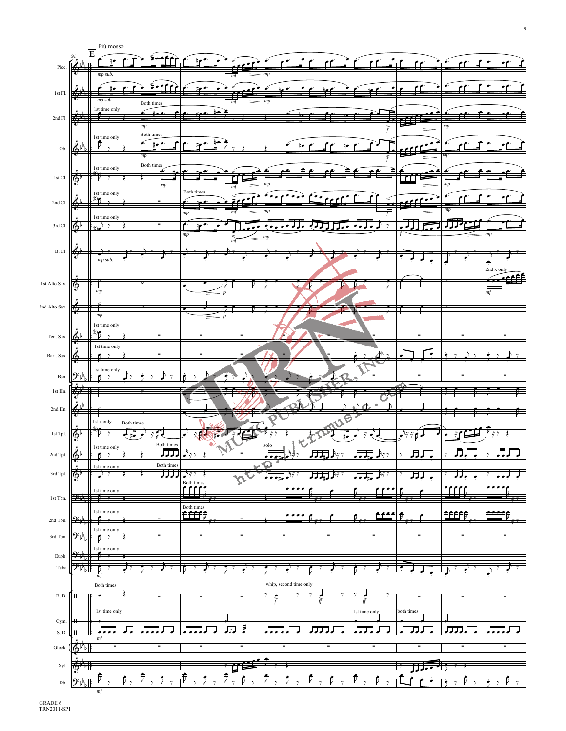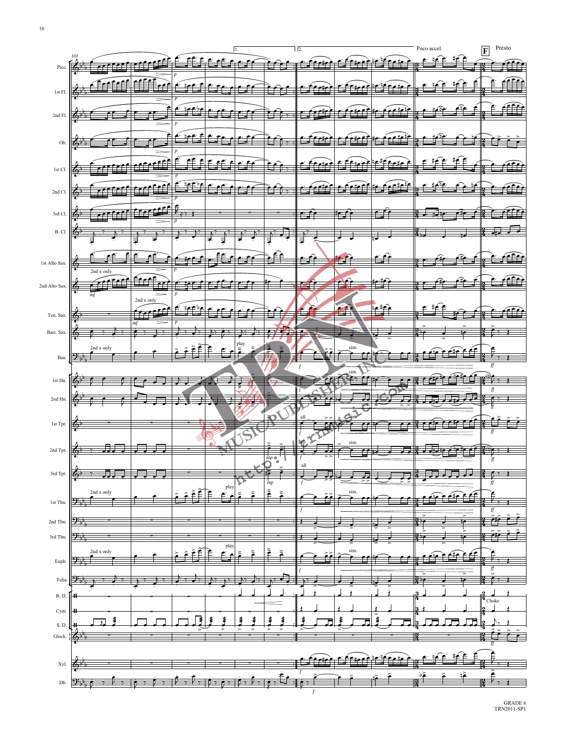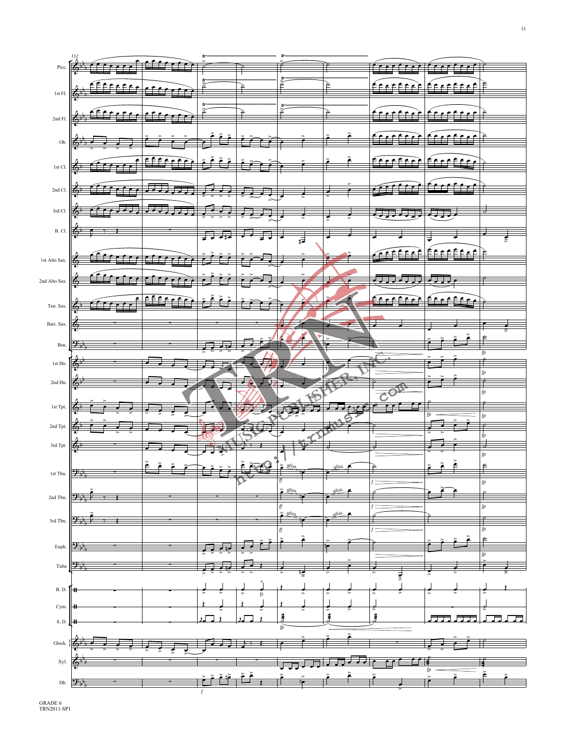